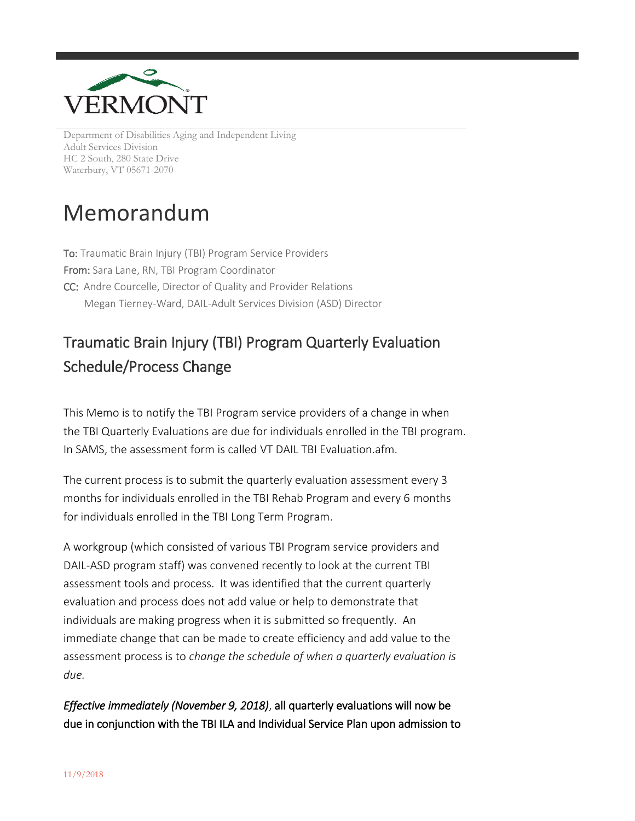

Department of Disabilities Aging and Independent Living Adult Services Division HC 2 South, 280 State Drive Waterbury, VT 05671-2070

## Memorandum

To: Traumatic Brain Injury (TBI) Program Service Providers From: Sara Lane, RN, TBI Program Coordinator CC: Andre Courcelle, Director of Quality and Provider Relations Megan Tierney-Ward, DAIL-Adult Services Division (ASD) Director

## Traumatic Brain Injury (TBI) Program Quarterly Evaluation Schedule/Process Change

This Memo is to notify the TBI Program service providers of a change in when the TBI Quarterly Evaluations are due for individuals enrolled in the TBI program. In SAMS, the assessment form is called VT DAIL TBI Evaluation.afm.

The current process is to submit the quarterly evaluation assessment every 3 months for individuals enrolled in the TBI Rehab Program and every 6 months for individuals enrolled in the TBI Long Term Program.

A workgroup (which consisted of various TBI Program service providers and DAIL-ASD program staff) was convened recently to look at the current TBI assessment tools and process. It was identified that the current quarterly evaluation and process does not add value or help to demonstrate that individuals are making progress when it is submitted so frequently. An immediate change that can be made to create efficiency and add value to the assessment process is to *change the schedule of when a quarterly evaluation is due.* 

*Effective immediately (November 9, 2018)*, all quarterly evaluations will now be due in conjunction with the TBI ILA and Individual Service Plan upon admission to